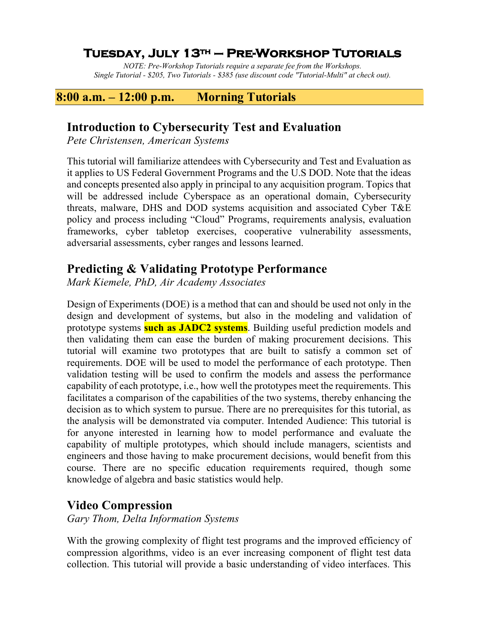## **Tuesday, July 13th – Pre-Workshop Tutorials**

*NOTE: Pre-Workshop Tutorials require a separate fee from the Workshops. Single Tutorial - \$205, Two Tutorials - \$385 (use discount code "Tutorial-Multi" at check out).*

#### **8:00 a.m. – 12:00 p.m. Morning Tutorials**

#### **Introduction to Cybersecurity Test and Evaluation**

*Pete Christensen, American Systems*

This tutorial will familiarize attendees with Cybersecurity and Test and Evaluation as it applies to US Federal Government Programs and the U.S DOD. Note that the ideas and concepts presented also apply in principal to any acquisition program. Topics that will be addressed include Cyberspace as an operational domain, Cybersecurity threats, malware, DHS and DOD systems acquisition and associated Cyber T&E policy and process including "Cloud" Programs, requirements analysis, evaluation frameworks, cyber tabletop exercises, cooperative vulnerability assessments, adversarial assessments, cyber ranges and lessons learned.

### **Predicting & Validating Prototype Performance**

*Mark Kiemele, PhD, Air Academy Associates*

Design of Experiments (DOE) is a method that can and should be used not only in the design and development of systems, but also in the modeling and validation of prototype systems **such as JADC2 systems**. Building useful prediction models and then validating them can ease the burden of making procurement decisions. This tutorial will examine two prototypes that are built to satisfy a common set of requirements. DOE will be used to model the performance of each prototype. Then validation testing will be used to confirm the models and assess the performance capability of each prototype, i.e., how well the prototypes meet the requirements. This facilitates a comparison of the capabilities of the two systems, thereby enhancing the decision as to which system to pursue. There are no prerequisites for this tutorial, as the analysis will be demonstrated via computer. Intended Audience: This tutorial is for anyone interested in learning how to model performance and evaluate the capability of multiple prototypes, which should include managers, scientists and engineers and those having to make procurement decisions, would benefit from this course. There are no specific education requirements required, though some knowledge of algebra and basic statistics would help.

#### **Video Compression**

*Gary Thom, Delta Information Systems*

With the growing complexity of flight test programs and the improved efficiency of compression algorithms, video is an ever increasing component of flight test data collection. This tutorial will provide a basic understanding of video interfaces. This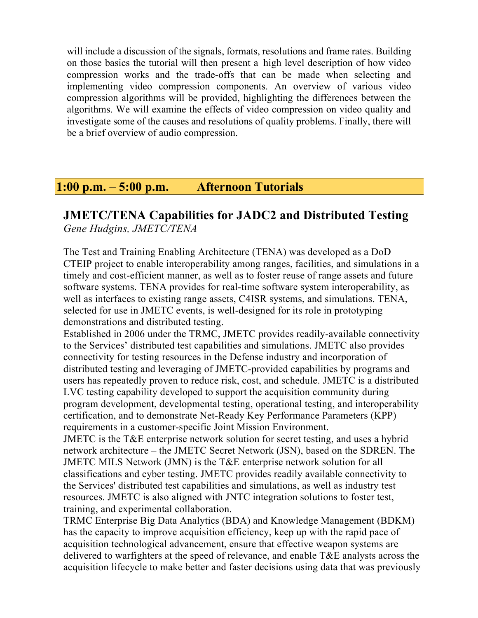will include a discussion of the signals, formats, resolutions and frame rates. Building on those basics the tutorial will then present a high level description of how video compression works and the trade-offs that can be made when selecting and implementing video compression components. An overview of various video compression algorithms will be provided, highlighting the differences between the algorithms. We will examine the effects of video compression on video quality and investigate some of the causes and resolutions of quality problems. Finally, there will be a brief overview of audio compression.

## **1:00 p.m. – 5:00 p.m. Afternoon Tutorials**

#### **JMETC/TENA Capabilities for JADC2 and Distributed Testing** *Gene Hudgins, JMETC/TENA*

The Test and Training Enabling Architecture (TENA) was developed as a DoD CTEIP project to enable interoperability among ranges, facilities, and simulations in a timely and cost-efficient manner, as well as to foster reuse of range assets and future software systems. TENA provides for real-time software system interoperability, as well as interfaces to existing range assets, C4ISR systems, and simulations. TENA, selected for use in JMETC events, is well-designed for its role in prototyping demonstrations and distributed testing.

Established in 2006 under the TRMC, JMETC provides readily-available connectivity to the Services' distributed test capabilities and simulations. JMETC also provides connectivity for testing resources in the Defense industry and incorporation of distributed testing and leveraging of JMETC-provided capabilities by programs and users has repeatedly proven to reduce risk, cost, and schedule. JMETC is a distributed LVC testing capability developed to support the acquisition community during program development, developmental testing, operational testing, and interoperability certification, and to demonstrate Net-Ready Key Performance Parameters (KPP) requirements in a customer-specific Joint Mission Environment.

JMETC is the T&E enterprise network solution for secret testing, and uses a hybrid network architecture – the JMETC Secret Network (JSN), based on the SDREN. The JMETC MILS Network (JMN) is the T&E enterprise network solution for all classifications and cyber testing. JMETC provides readily available connectivity to the Services' distributed test capabilities and simulations, as well as industry test resources. JMETC is also aligned with JNTC integration solutions to foster test, training, and experimental collaboration.

TRMC Enterprise Big Data Analytics (BDA) and Knowledge Management (BDKM) has the capacity to improve acquisition efficiency, keep up with the rapid pace of acquisition technological advancement, ensure that effective weapon systems are delivered to warfighters at the speed of relevance, and enable T&E analysts across the acquisition lifecycle to make better and faster decisions using data that was previously